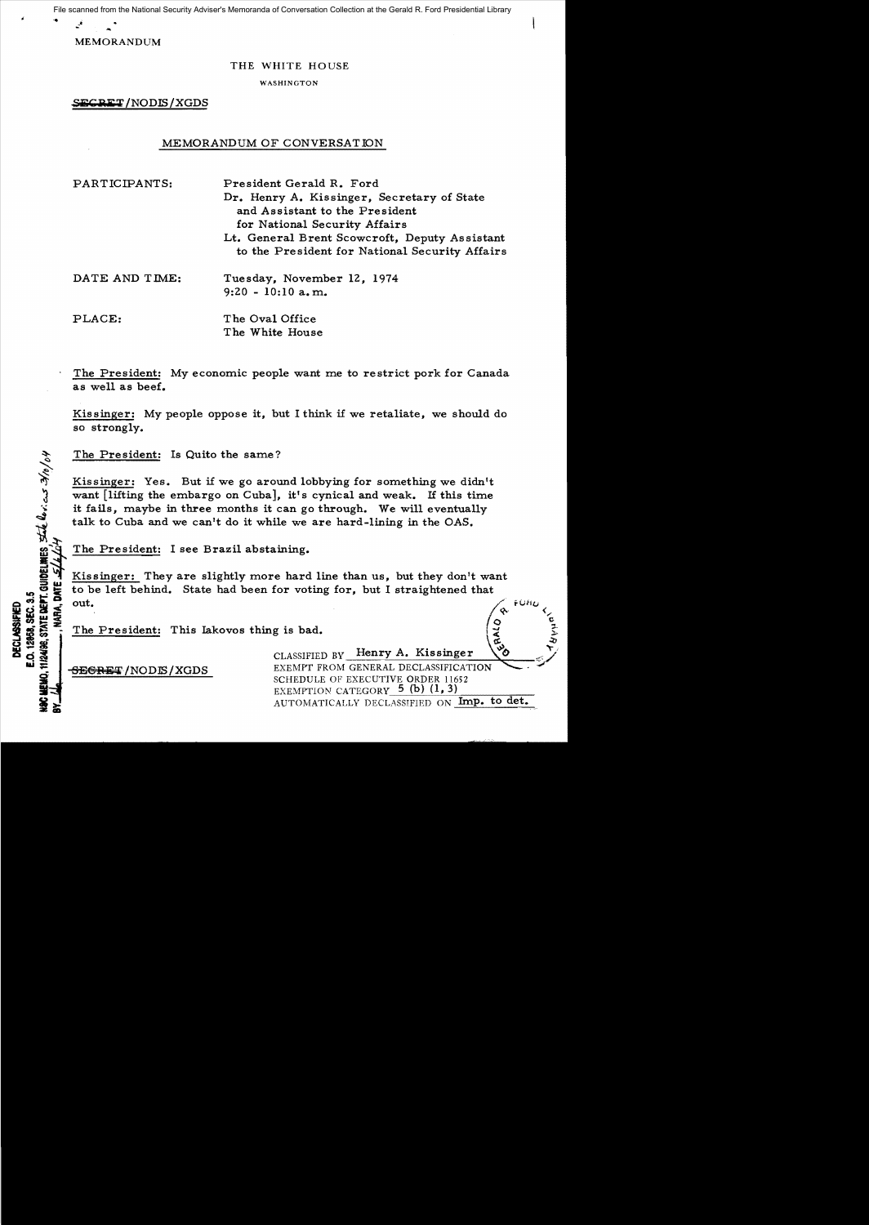File scanned from the National Security Adviser's Memoranda of Conversation Collection at the Gerald R. Ford Presidential Library

MEMORANDUM

#### THE WHITE HOUSE

WASHINGTON

SECRET/NODLS/XGDS

## MEMORANDUM OF CONVERSATION

PARTICIPANTS: President Gerald R. Ford Dr. Henry A. Kissinger, Secretary of State and Assistant to the President for National Security Affairs Lt. General Brent Scowcroft, Deputy Assistant to the President for National Security Affairs DATE AND TIME: Tuesday, November 12, 1974 9:20 - 10:10 a. m. PLACE: The Oval Office The White House

The President: My economic people want me to restrict pork for Canada as well as beef.

Kissinger: My people oppose it, but I think if we retaliate, we should do so strongly.

The President: Is Quito the same?

Kissinger: Yes. But if we go around lobbying for something we didn't want  $\lceil$  lifting the embargo on Cuba, it's cynical and weak. If this time want lifting the embargo on Cubal, it's cynical and weak. It this time<br>it fails, maybe in three months it can go through. We will eventually<br>talk to Cuba and we can't do it while we are hard-lining in the OAS.  $\ddot{\mathbf{x}}$  it fails, maybe in three months it can go through. We will eventually talk to Cuba and we can't do it while we are hard-lining in the *OAS.* 

The President: I see Brazil abstaining.

Kissinger: They are slightly more hard line than us, but they don't want<br>to be left behind. State had been for voting for, but I straightened that<br>out.  $\frac{1}{2}$   $\frac{1}{2}$   $\frac{1}{2}$   $\frac{1}{2}$  to be left behind. State had been for voting for, but I straightened that out.<br>  $\frac{1}{2}$  out. So the President: This lakovos thing is bad.<br>
CLASSIFIED BY Henry A. Kissinger<br>
The President: This lakovos thing is bad.<br>
CLASSIFIED BY Henry A. Kissinger<br>
EVENTER AL OF ASSIFIED BY Henry A. Kissinger

 $\begin{array}{c}\n\mathbf{1}_{\mathbf{1}}\mathbf{1}_{\mathbf{2}}\mathbf{1}_{\mathbf{3}}\mathbf{1}_{\mathbf{4}}\n\mathbf{2}_{\mathbf{5}}\mathbf{3}_{\mathbf{6}}\mathbf{1}_{\mathbf{5}}\n\mathbf{3}_{\mathbf{6}}\mathbf{1}_{\mathbf{5}}\mathbf{2}_{\mathbf{6}}\mathbf{1}_{\mathbf{7}}\n\end{array}$ The President: This Lakovos thing is bad.<br>
CLASSIFIED BY Henry A. K

**TIRAGE STATE DEPT. GUIDELINES SINE CONTROLS 3/0/04** 

aU ;: S:8@iiHsT/NODlS/XGDS EXEMPT FROJ\.f GENERAL DECLASSIFICATION ...........,. .. if SCHEDULE OF EXECUTIVE ORDER 11652 EXEMPTION CATEGORY  $5~(b)$  (1, 3) AUTOMATICALLY DECLASSIFIED ON Imp. to det.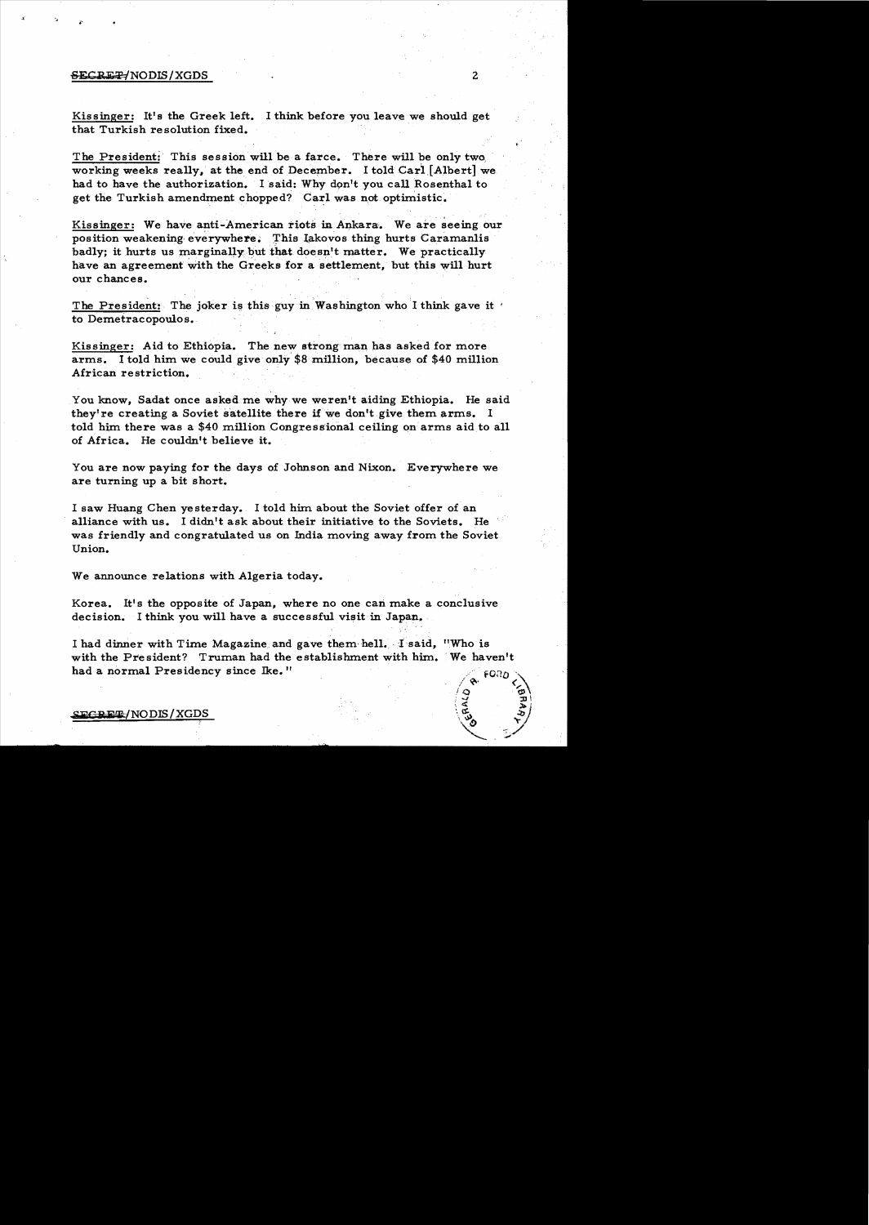#### ${{\bf SECREF}/NODIS}/XGDS$  2

Kissinger: It's the Greek left. I think before you leave we should get that Turkish resolution fixed.

The President: This session will be a farce. There will be only two working weeks really, at the end of December. I told Carl [Albert] we had to have the authorization. I said: Why don't you call Rosenthal to get the Turkish amendment chopped? Carl was not optimistic.

...<br>Kissinger: We have anti-American riots in Ankara. We are seeing our position weakening everywhere. This lakovos thing hurts Caramanlis badly; it hurts us marginally but that doesn't matter. We practically have an agreement with the Greeks for a settlement, but this will hurt our chances.

The President: The joker is this guy in Washington who I think gave it ' to Demetracopoulos.

Kissinger: Aid to Ethiopia. The new strong man has asked for more arms. I told him we could give only  $$8$  million, because of  $$40$  million African re striction.

You know, Sadat once asked me why we weren't aiding Ethiopia. He said they're creating a Soviet satellite there if we don't give them arms. I told him there was a \$40 million Congressional ceiling on arms aid to all of Africa. He couldn't believe it.

You are now paying for the days of Johnson and Nixon. Everywhere we are turning up a bit short.

I saw Huang Chen yesterday. I told him about the Soviet offer of an alliance with us. I didn't ask about their initiative to the Soviets. He was friendly and congratulated us on India moving away from the Soviet Union.

We announce relations with Algeria today.

Korea. It's the opposite of Japan, where no one can make a conclusive decision. I think you will have a successful visit in Japan.

 $\cdot$  '. I had dinner with Time Magazine and gave them hell. I said, "Who is with the President? Truman had the establishment with him. 'We haven't had a normal Presidency since Ike."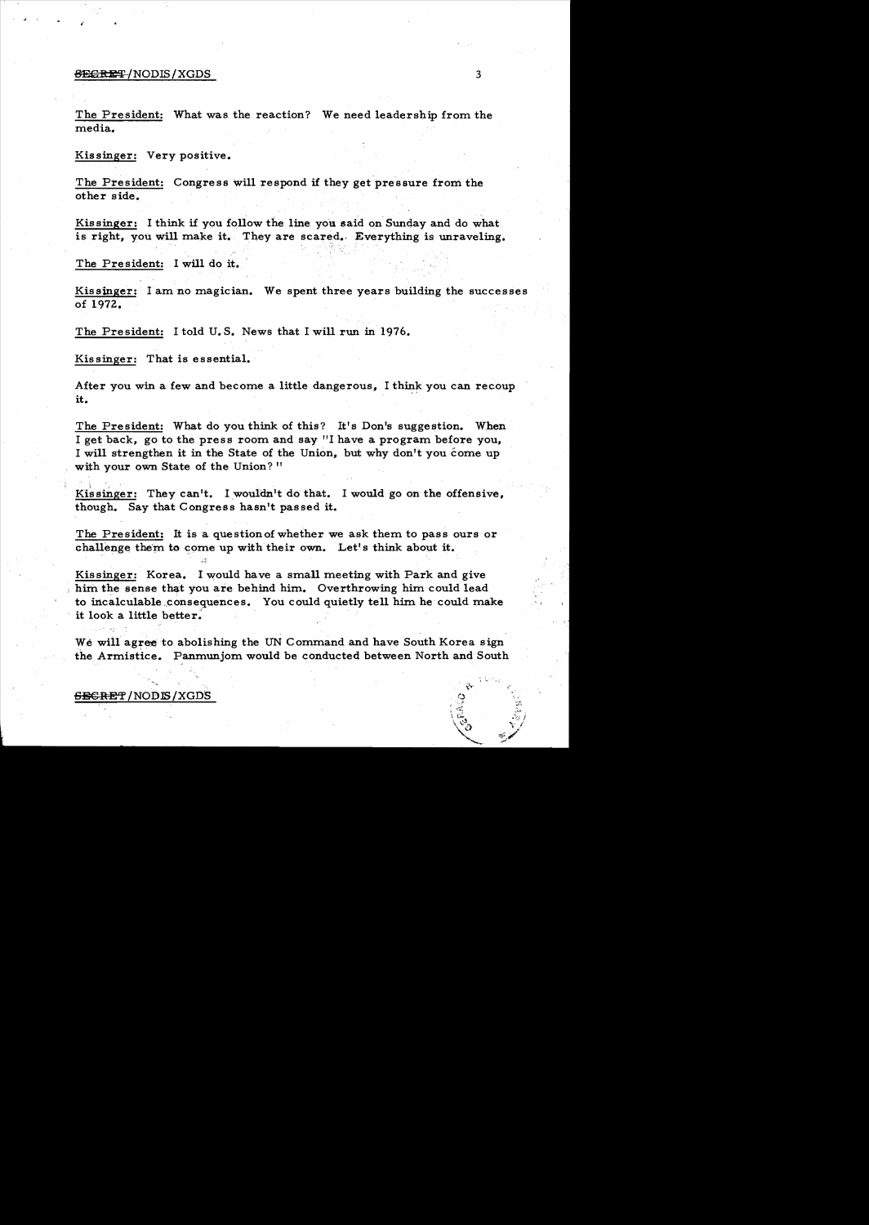#### $\overline{\text{SEGRE}}$  /NODIS/XGDS 3

The President: What was the reaction? We need leadership from the media.

Kissinger: Very positive.

The President: Congress will respond if they get pressure from the other side.

Kissinger: I think if you follow the line you said on Sunday and do what is right, you will make it. They are scared. Everything is unraveling.

The President: I will do it.

Kissinger: lam no magician. We spent three years building the successes of 1972.

The President: I told U.S. News that I will run in 1976.

Kissinger: That is essential.

After you win a few and become a little dangerous, I think you can recoup it.

The President: What do you think of this? It's Don's suggestion. When I get back, go to the press room and say "I have a program before you, I will strengthen it in the State of the Union, but why don't you come up with your own State of the Union? "

Kissinger: They can't. I wouldn't do that. I would go on the offensive, though. Say that Congress hasn't passed it.

The President: It is a question of whether we ask them to pass ours or challenge them to come up with their own. Let's think about it.

Kissinger: Korea. I would have a small meeting with Park and give him the sense that you are behind him. Overthrowing him could lead to incalculable ,consequences. You could quietly tell him he could make it look a little better.

We will agree to abolishing the UN Command and have South Korea sign the Armistice. Panmunjom would be conducted between North and South

<del>SECRE</del>T / NODIS / XGDS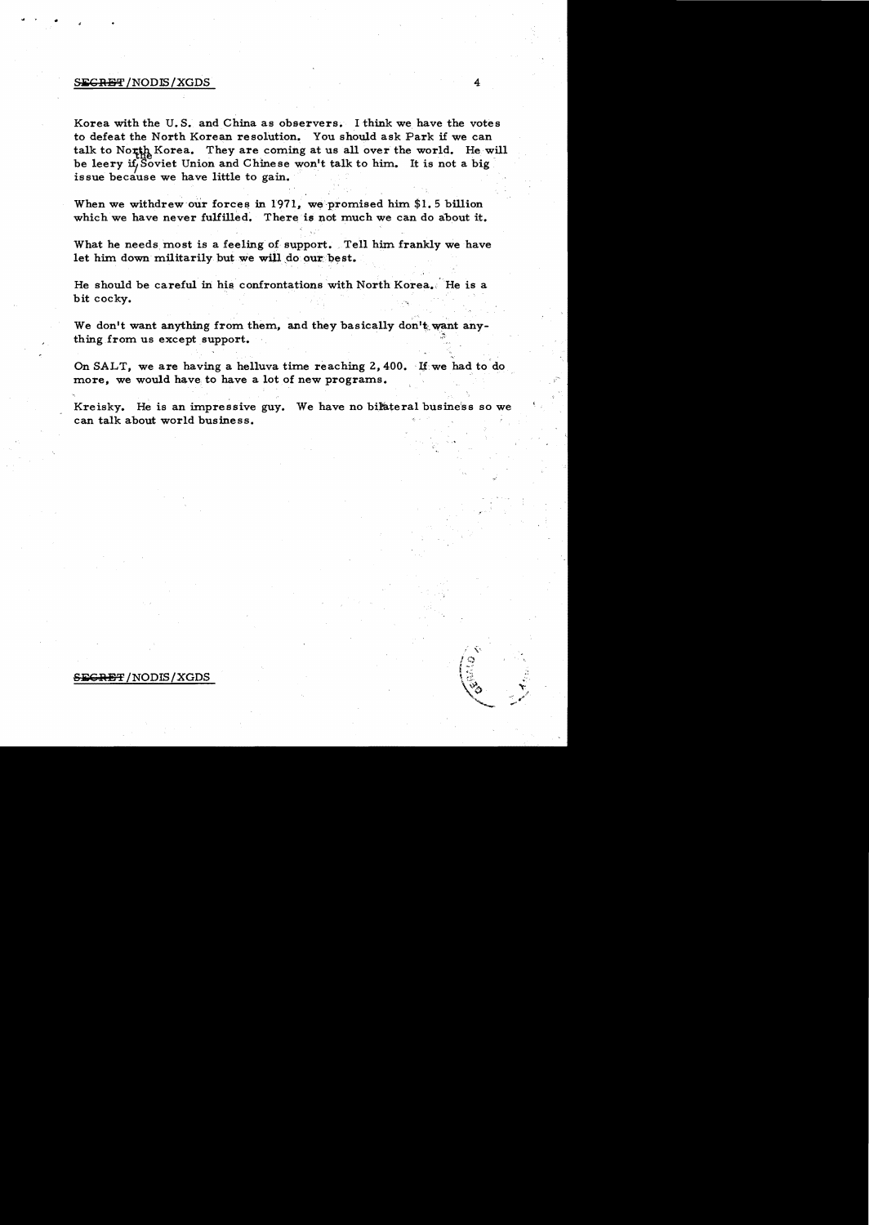### $S_{\rm EGRBF}$  /NODIS / XGDS  $4$

Korea with the U. S. and China as observers. I think we have the votes to defeat the North Korean resolution. You should ask Park if we can talk to North Korea. They are coming at us all over the world. He will be leery if Soviet Union and Chinese won't talk to him. It is not a big issue because we have little to gain.

When we withdrew our forces in  $1971$ , we promised him \$1.5 billion which we have never fulfilled. There is not much we can do about it.

What he needs most is a feeling of support. Tell him frankly we have let him down militarily but we will do our best.

He should be careful in his confrontations wlth North Korea., He is a bit cocky.

We don't want anything from them, and they basically don't want any-We don't want anything from them, and they basically don't want<br>thing from us except support.

On SALT, we are having a helluva time reaching  $2,400$ . If we had to do more, we would have to have a lot of new programs.

Kreisky. He is an impressive guy. We have no bilateral busine'ss so we can talk about world business.

# <del>RET</del> /NODIS / XGDS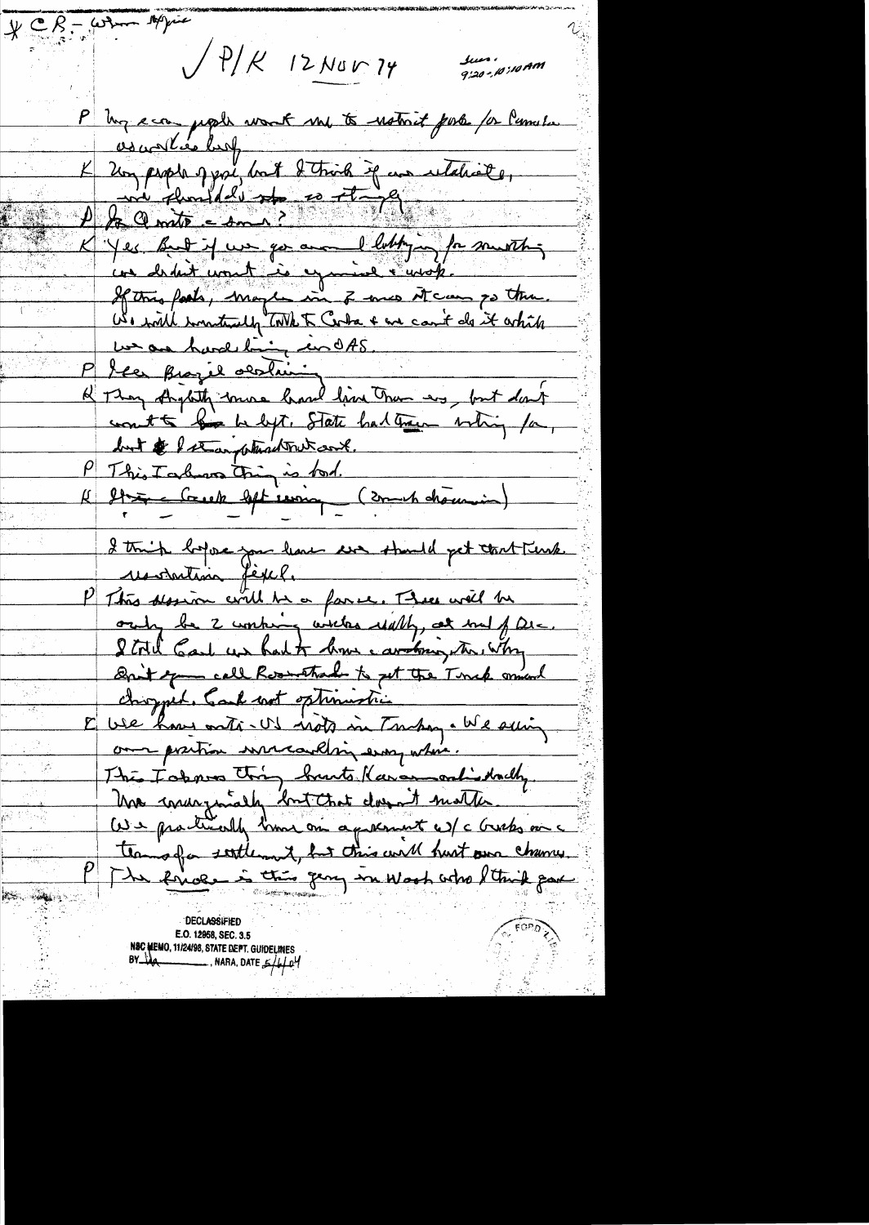$* \mathbb{C}$   $\mathbb{R}$  - when suppose  $/$  P/K 12 Nov 74 Jun. AM 01:00 PM P  $ln q = cos$ , papils wont me to notwit portes for lumitar as ad les buf Un people of ppl, but I trick if un utaliste De amit en 1100 de ce 700 L'Yes But it was so avait lettry for southing We will wontedly TWE To Cola + and count do it which count to be being to State had train whin for, but & I than which we cont. P This Tarbon trin is tod. (2004 chouvin) I think hope you have we should get that turk restaution fègel. P This planion will be a famil. There will be orily be 2 working with white, at me of Die. I toll God us had to how carding the with Ont you call Roomstrad to get the Timek smend E vie hour onté-US nots in Tuboy. We suing The Forms thing hunts Karamontistally We producedly time on a prement w/c Greeks on a teamofor settlement, but this will hast own chance. The Rivale is this gary in Work who Sthink par AS MAL

**DECLASSIFIED** E.O. 12958, SEC. 3.5 NSC MEMO, 11/24/98, STATE DEPT. GUIDELINES  $BY \rightarrow \mathcal{U}$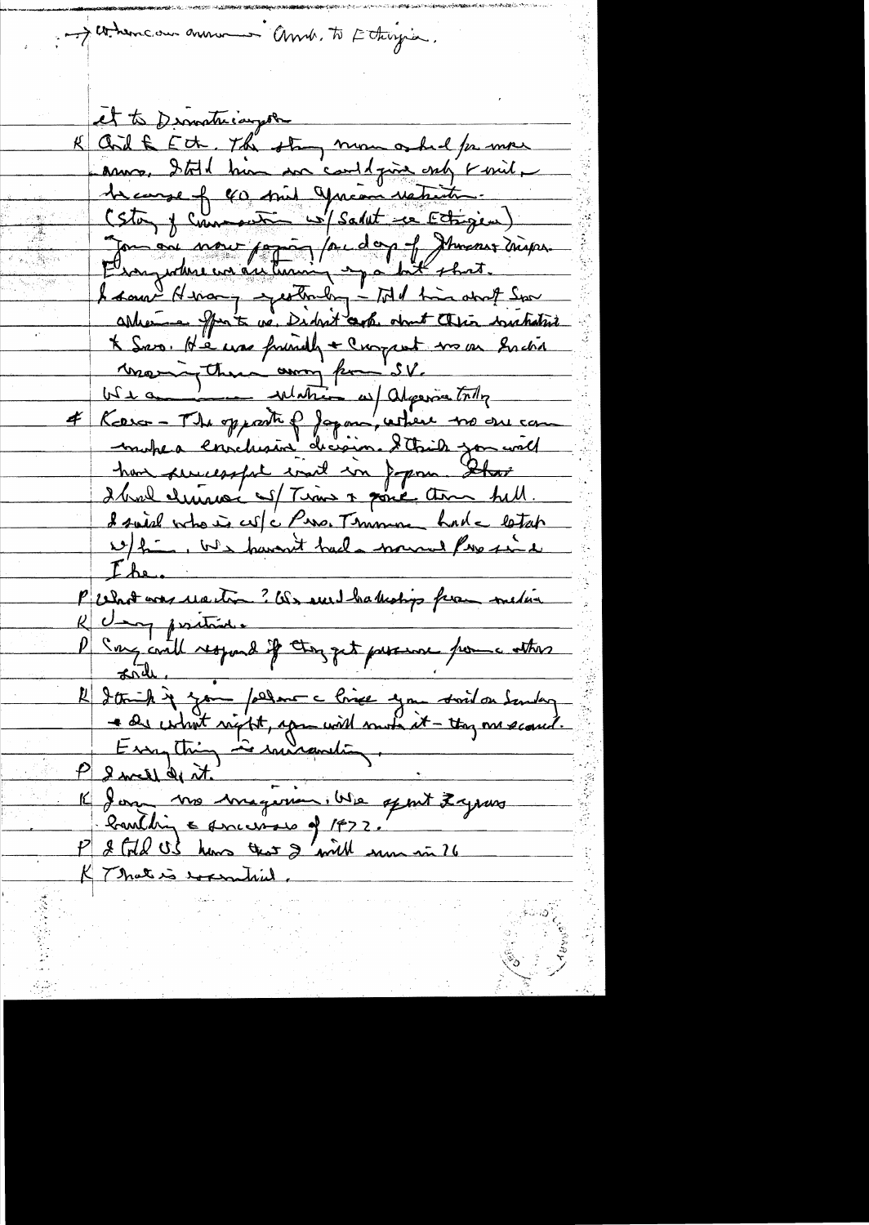And the there our answer and. To Ethingia. et to Dematricarpoon K Cod & Ect, The stay mon oshal for more anno, Ital him an could give only ravid. 1ercarse fr co mil Jucan restricte (Sta, y comment w/ Salut re Ectigen) Journal mour papier /ac day of Journal mission.<br>Demyndere un automin -partie that. ables en france de Didrit auch objet Alia instalation X Sero. He use friendly + Current me en Enchant reserve to the common point of the service to the common of the common common to the common the common the common of the common of the common common common common common comm han successful mil in Jepous Star I broul clumare as Time & some time hill. I said voto is culc Piso. Temme hade letat w/fin, We haven't had a mound Pro in the. P What was united ? Os sur habertings from media R Umg positive P Ing could respond if they get presence power atters  $\pi$ rde. 1 2 th 1 200 permet chief you swit on Sending<br>- as what right, you will more it - tog me scared.<br>- Enough it - soundanting.<br>1 2 well de it - soundanting.<br>Routhing & sociosors of 1977.<br>P 2 file US how that 2 with some in 76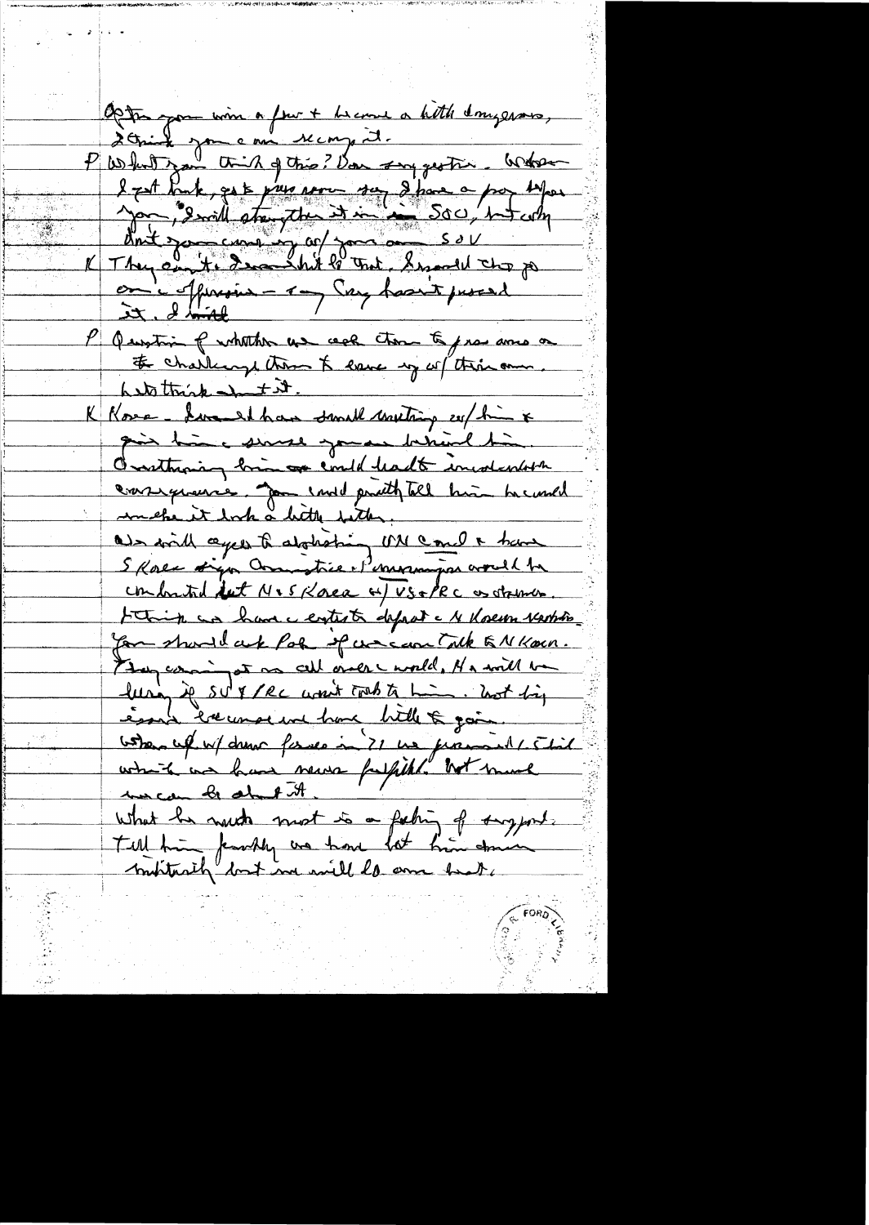Optim pour iron a feur + become a hitte dongerous, Schich jou eau recons it.<br>P What you thing this? Von surgestir. Where l zat Park, get pur come sur d'han a par byar<br>Jan 12 mill stre the it in Soc, but why on 'c offererin - 1 - Say haan't proceed P Question of whather us ack those to pravamo or # challenge than & lave my of this am hattrick Intit. K Kose - Lume at has small meeting explain x gin him word you here this Orathaning bring emild hadt incolentity consequence for end pritty till him he und als with ceper to abothering UN Coult have conforted but MISKORR H/VS+PRC as stames tothing and have a contest depart a 14 docum vertition you should ask Pole of waccom Talk & N Korn. They coming at me call once would. He will be lurin je svik se won't tout to him. Not big Good of w/ drew force in ? I we promind ! This white was have news fulfill. With much mecan be about it what he much most to a fating of surgeont. montarity bot in will be am heat